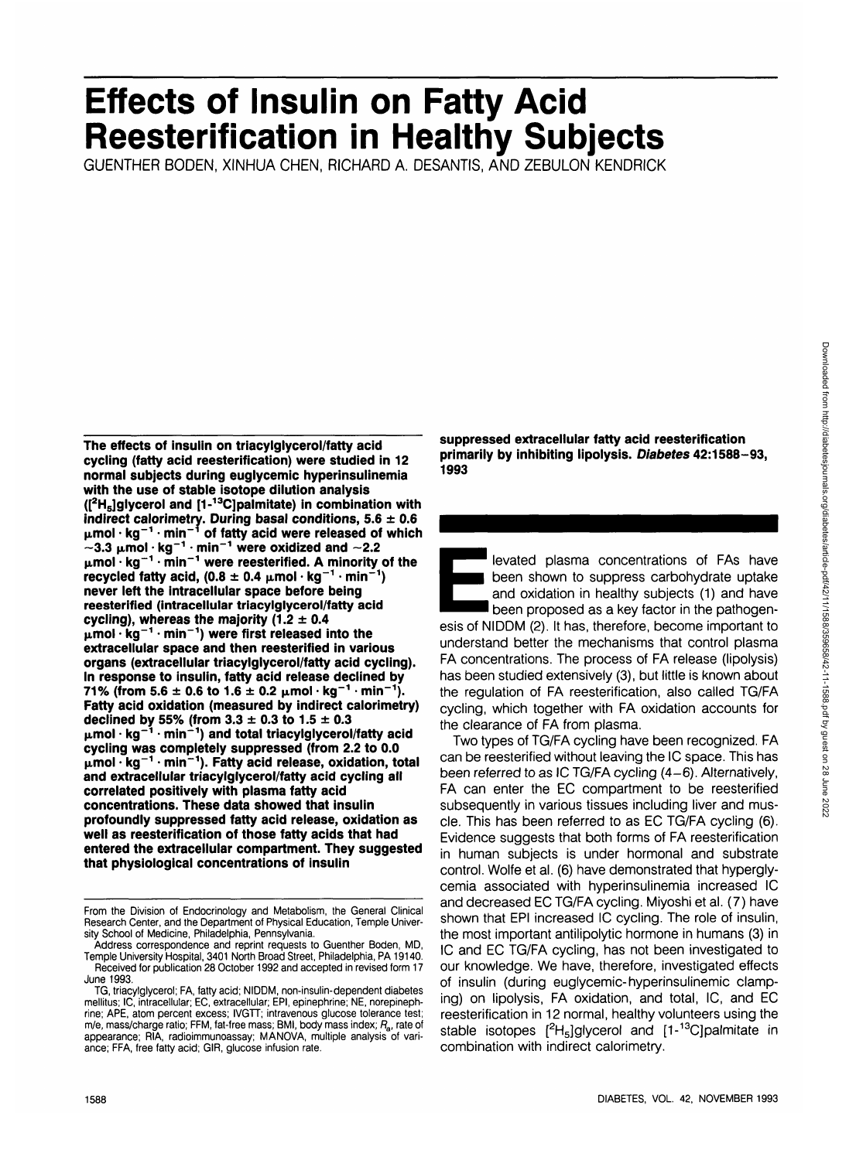# **Effects of Insulin on Fatty Acid Reesterification in Healthy Subjects**

GUENTHER BODEN, XINHUA CHEN, RICHARD A. DESANTIS, AND ZEBULON KENDRICK

**The effects of insulin on triacylglycerol/fatty acid cycling (fatty acid reesterification) were studied in 12 normal subjects during euglycemic hyperinsulinemia with the use of stable isotope dilution analysis ([2 H5]glycerol and [1-13C]palmitate) in combination with indirect calorimetry. During basal conditions, 5.6 ± 0.6 jimol • kg"<sup>1</sup> • min"<sup>1</sup> of fatty acid were released of which**  $\sim$ 3.3  $\mu$ mol·kg<sup>-1</sup>·min<sup>-1</sup> were oxidized and  $\sim$ 2.2 **jimol • kg"<sup>1</sup> • min"<sup>1</sup> were reesterified. A minority of the** recycled fatty acid.  $(0.8 \pm 0.4 \text{ }\mu\text{mol}\cdot\text{kg}^{-1}\cdot\text{min}^{-1})$ **never left the intracellular space before being reesterified (intracellular triacylglycerol/fatty acid cycling), whereas the majority (1.2 ± 0.4 jimol • kg"<sup>1</sup> • min"<sup>1</sup> ) were first released into the extracellular space and then reesterified in various organs (extracellular triacylglycerol/fatty acid cycling). In response to insulin, fatty acid release declined by 71% (from 5.6 ± 0.6 to 1.6 ± 0.2 jimol • kg"<sup>1</sup> • min"<sup>1</sup> ). Fatty acid oxidation (measured by indirect calorimetry) declined by 55% (from 3.3 ± 0.3 to 1.5 ± 0.3 jimol • kg"<sup>1</sup> • min"<sup>1</sup> ) and total triacylglycerol/fatty acid cycling was completely suppressed (from 2.2 to 0.0 jimol • kg"<sup>1</sup> • min"<sup>1</sup> ). Fatty acid release, oxidation, total and extracellular triacylglycerol/fatty acid cycling all correlated positively with plasma fatty acid concentrations. These data showed that insulin profoundly suppressed fatty acid release, oxidation as well as reesterification of those fatty acids that had entered the extracellular compartment. They suggested that physiological concentrations of insulin**

**suppressed extracellular fatty acid reesterification primarily by inhibiting lipolysis. Diabetes 42:1588-93, 1993**

levated plasma concentrations of FAs have been shown to suppress carbohydrate uptake and oxidation in healthy subjects (1) and have been proposed as a key factor in the pathogenesis of NIDDM (2). It has, therefore, become important to understand better the mechanisms that control plasma FA concentrations. The process of FA release (lipolysis) has been studied extensively (3), but little is known about the regulation of FA reesterification, also called TG/FA cycling, which together with FA oxidation accounts for the clearance of FA from plasma.

Two types of TG/FA cycling have been recognized. FA can be reesterified without leaving the IC space. This has been referred to as IC TG/FA cycling (4-6). Alternatively, FA can enter the EC compartment to be reesterified subsequently in various tissues including liver and muscle. This has been referred to as EC TG/FA cycling (6). Evidence suggests that both forms of FA reesterification in human subjects is under hormonal and substrate control. Wolfe et al. (6) have demonstrated that hyperglycemia associated with hyperinsulinemia increased IC and decreased EC TG/FA cycling. Miyoshi et al. (7) have shown that EPI increased IC cycling. The role of insulin, the most important antilipolytic hormone in humans (3) in IC and EC TG/FA cycling, has not been investigated to our knowledge. We have, therefore, investigated effects of insulin (during euglycemic-hyperinsulinemic clamping) on lipolysis, FA oxidation, and total, IC, and EC reesterification in 12 normal, healthy volunteers using the stable isotopes [<sup>2</sup>H<sub>5</sub>]glycerol and [1-<sup>13</sup>C]palmitate in combination with indirect calorimetry.

From the Division of Endocrinology and Metabolism, the General Clinical Research Center, and the Department of Physical Education, Temple University School of Medicine, Philadelphia, Pennsylvania.

Address correspondence and reprint requests to Guenther Boden, MD, Temple University Hospital, 3401 North Broad Street, Philadelphia, PA 19140. Received for publication 28 October 1992 and accepted in revised form 17 June 1993.

TG, triacylglycerol; FA, fatty acid; NIDDM, non-insulin-dependent diabetes mellitus; IC, intracellular; EC, extracellular; EPI, epinephrine; NE, norepinephrine; APE, atom percent excess; IVGTT; intravenous glucose tolerance test; m/e, mass/charge ratio; FFM, fat-free mass; BMI, body mass index;  $R_{a}$ , rate of appearance; RIA, radioimmunoassay; MANOVA, multiple analysis of variance; FFA, free fatty acid; GIR, glucose infusion rate.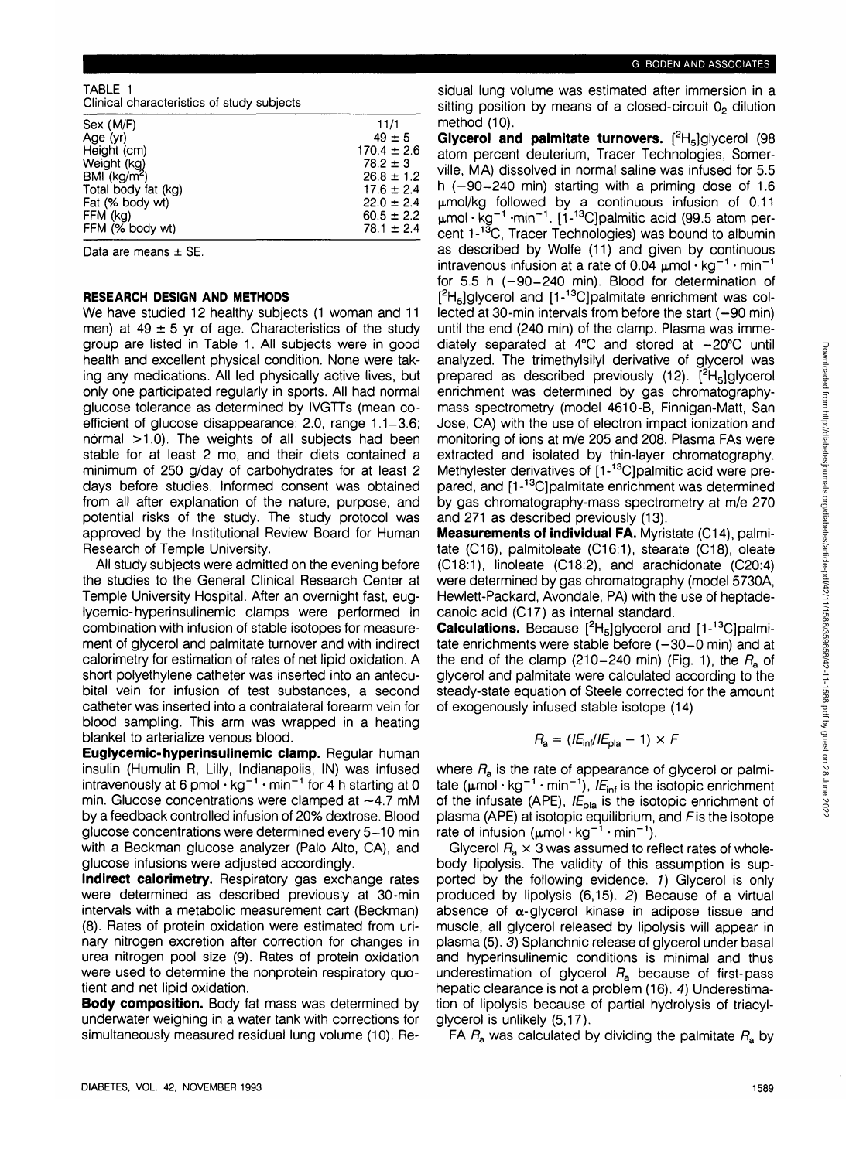#### TABLE 1  $\blacksquare$  characteristics of study subjects

| Cilingar Criaracteristics or study subjects |                 |
|---------------------------------------------|-----------------|
| Sex (M/F)                                   | 11/1            |
| Age (yr)                                    | $49 \pm 5$      |
| Height (cm)                                 | $170.4 \pm 2.6$ |
| Weight (kg)                                 | $78.2 \pm 3$    |
| BMI $(kq/m^2)$                              | $26.8 \pm 1.2$  |
| Total body fat (kg)                         | $17.6 \pm 2.4$  |
| Fat (% body wt)                             | $22.0 \pm 2.4$  |
| FFM (kg)                                    | $60.5 \pm 2.2$  |
| FFM (% body wt)                             | $78.1 \pm 2.4$  |
|                                             |                 |

Data are means  $\pm$  SE.

## **RESEARCH DESIGN AND METHODS**

We have studied 12 healthy subjects (1 woman and 11 men) at  $49 \pm 5$  yr of age. Characteristics of the study group are listed in Table 1. All subjects were in good health and excellent physical condition. None were taking any medications. All led physically active lives, but only one participated regularly in sports. All had normal glucose tolerance as determined by IVGTTs (mean coefficient of glucose disappearance: 2.0, range 1.1-3.6; normal >1.0). The weights of all subjects had been stable for at least 2 mo, and their diets contained a minimum of 250 g/day of carbohydrates for at least 2 days before studies. Informed consent was obtained from all after explanation of the nature, purpose, and potential risks of the study. The study protocol was approved by the Institutional Review Board for Human Research of Temple University.

All study subjects were admitted on the evening before the studies to the General Clinical Research Center at Temple University Hospital. After an overnight fast, euglycemic-hyperinsulinemic clamps were performed in combination with infusion of stable isotopes for measurement of glycerol and palmitate turnover and with indirect calorimetry for estimation of rates of net lipid oxidation. A short polyethylene catheter was inserted into an antecubital vein for infusion of test substances, a second catheter was inserted into a contralateral forearm vein for blood sampling. This arm was wrapped in a heating blanket to arterialize venous blood.

**Euglycemic-hyperinsulinemic clamp.** Regular human insulin (Humulin R, Lilly, Indianapolis, IN) was infused intravenously at 6 pmol  $\cdot$  kg<sup>-1</sup>  $\cdot$  min<sup>-1</sup> for 4 h starting at 0 min. Glucose concentrations were clamped at  $\sim$ 4.7 mM by a feedback controlled infusion of 20% dextrose. Blood glucose concentrations were determined every 5-10 min with a Beckman glucose analyzer (Palo Alto, CA), and glucose infusions were adjusted accordingly.

**Indirect calorimetry.** Respiratory gas exchange rates were determined as described previously at 30-min intervals with a metabolic measurement cart (Beckman) (8). Rates of protein oxidation were estimated from urinary nitrogen excretion after correction for changes in urea nitrogen pool size (9). Rates of protein oxidation were used to determine the nonprotein respiratory quotient and net lipid oxidation.

**Body composition.** Body fat mass was determined by underwater weighing in a water tank with corrections for simultaneously measured residual lung volume (10). Residual lung volume was estimated after immersion in a sitting position by means of a closed-circuit 02 dilution method (10).

Glycerol and palmitate turnovers. [<sup>2</sup>H<sub>5</sub>]glycerol (98 atom percent deuterium, Tracer Technologies, Somerville, MA) dissolved in normal saline was infused for 5.5 h  $(-90-240 \text{ min})$  starting with a priming dose of 1.6  $\mu$ mol/kg followed by a continuous infusion of 0.11  $\mu$ mol·kg<sup>-1</sup>·min<sup>-1</sup>. [1-<sup>13</sup>C]palmitic acid (99.5 atom per-.<br>cent 1-<sup>13</sup>C, Tracer Technologies) was bound to albumin as described by Wolfe (11) and given by continuous intravenous infusion at a rate of 0.04  $\mu$ mol  $\cdot$  kg<sup>-1</sup>  $\cdot$  min<sup>-1</sup> for  $5.5$  h  $(-90-240$  min). Blood for determination of [<sup>2</sup>H<sub>5</sub>]glycerol and [1-<sup>13</sup>C]palmitate enrichment was collected at 30-min intervals from before the start  $(-90 \text{ min})$ until the end (240 min) of the clamp. Plasma was immediately separated at  $4^{\circ}$ C and stored at  $-20^{\circ}$ C until analyzed. The trimethylsilyl derivative of glycerol was prepared as described previously (12). [<sup>2</sup>H<sub>5</sub>]glycerol enrichment was determined by gas chromatographymass spectrometry (model 4610-B, Finnigan-Matt, San Jose, CA) with the use of electron impact ionization and monitoring of ions at m/e 205 and 208. Plasma FAs were extracted and isolated by thin-layer chromatography. Methylester derivatives of [1-<sup>13</sup>C]palmitic acid were prepared, and [1-13C]palmitate enrichment was determined by gas chromatography-mass spectrometry at m/e 270 and 271 as described previously (13).

**Measurements of individual FA.** Myristate (C14), palmitate (C16), palmitoleate (C16:1), stearate (C18), oleate (C18:1), linoleate (C18:2), and arachidonate (C20:4) were determined by gas chromatography (model 5730A, Hewlett-Packard, Avondale, PA) with the use of heptadecanoic acid (C17) as internal standard.

Calculations. Because [<sup>2</sup>H<sub>5</sub>]glycerol and [1-<sup>13</sup>C]palmitate enrichments were stable before  $(-30-0 \text{ min})$  and at the end of the clamp (210-240 min) (Fig. 1), the  $R_a$  of glycerol and palmitate were calculated according to the steady-state equation of Steele corrected for the amount of exogenously infused stable isotope (14)

$$
R_{\rm a} = (I E_{\rm inf}/I E_{\rm pla} - 1) \times F
$$

where  $R_a$  is the rate of appearance of glycerol or palmitate ( $\mu$ mol · kg<sup>-1</sup> · min<sup>-1</sup>),  $E_{\text{inf}}$  is the isotopic enrichment of the infusate (APE),  $IE<sub>pla</sub>$  is the isotopic enrichment of plasma (APE) at isotopic equilibrium, and Fis the isotope rate of infusion ( $\mu$ mol · kg<sup>-1</sup> · min<sup>-1</sup>).

Glycerol  $F_a \times 3$  was assumed to reflect rates of wholebody lipolysis. The validity of this assumption is supported by the following evidence. 1) Glycerol is only produced by lipolysis (6,15). 2) Because of a virtual absence of  $\alpha$ -glycerol kinase in adipose tissue and muscle, all glycerol released by lipolysis will appear in plasma (5). 3) Splanchnic release of glycerol under basal and hyperinsulinemic conditions is minimal and thus underestimation of glycerol  $R_{a}$  because of first-pass hepatic clearance is not a problem (16). 4) Underestimation of lipolysis because of partial hydrolysis of triacylglycerol is unlikely (5,17).

FA  $R_a$  was calculated by dividing the palmitate  $R_a$  by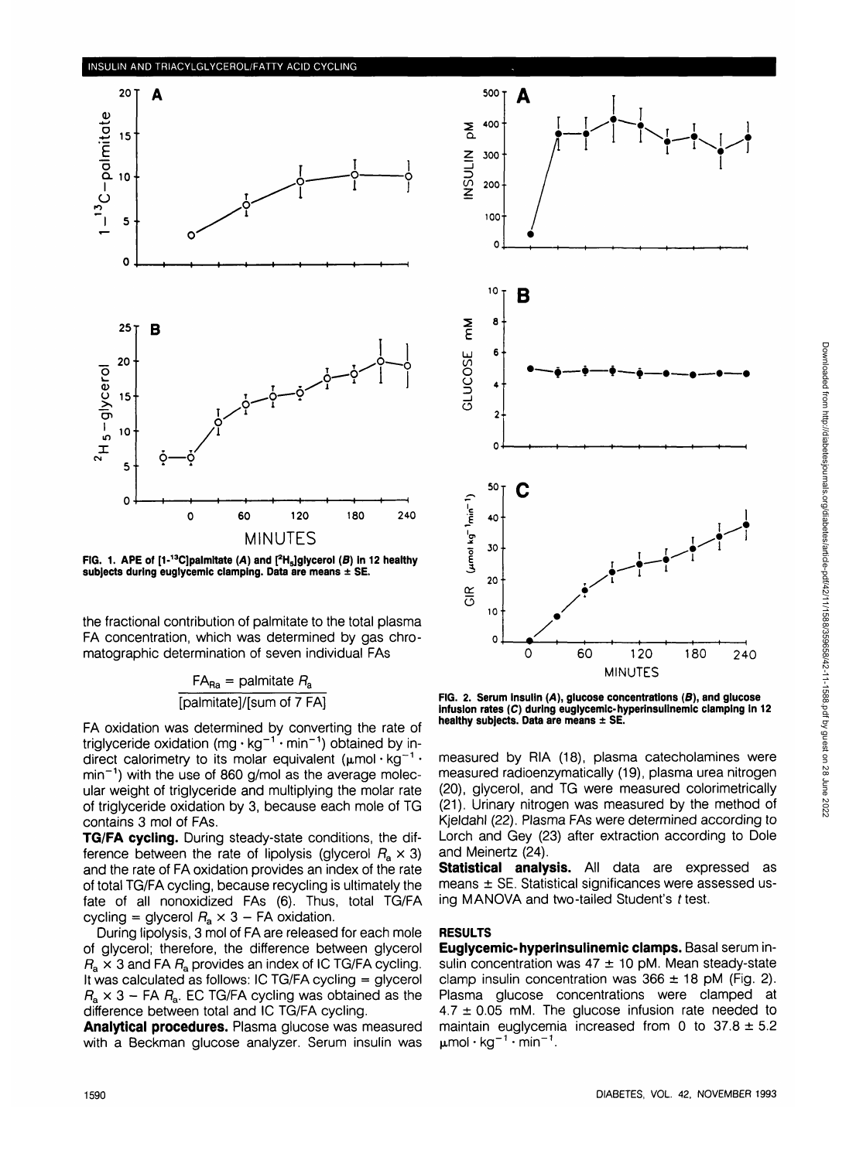

**FIG. 1. APE of [1-13C]palmltate (A) and [<sup>2</sup> H5]glycerol (B) In 12 healthy subjects during euglycemlc clamping. Data are means ± SE.**

the fractional contribution of palmitate to the total plasma FA concentration, which was determined by gas chromatographic determination of seven individual FAs

$$
FA_{Ra} = \text{palmitate } R_a
$$
  
[palmitate]/[sum of 7 FA]

FA oxidation was determined by converting the rate of triglyceride oxidation (mg  $\cdot$  kg<sup>-1</sup> $\cdot$  min<sup>-1</sup>) obtained by indirect calorimetry to its molar equivalent ( $\mu$ mol·kg<sup>-1</sup>· min<sup>-1</sup>) with the use of 860 g/mol as the average molecular weight of triglyceride and multiplying the molar rate of triglyceride oxidation by 3, because each mole of TG contains 3 mol of FAs.

**TG/FA cycling.** During steady-state conditions, the difference between the rate of lipolysis (glycerol  $R_a \times 3$ ) and the rate of FA oxidation provides an index of the rate of total TG/FA cycling, because recycling is ultimately the fate of all nonoxidized FAs (6). Thus, total TG/FA cycling = glycerol  $R_a \times 3$  – FA oxidation.

During lipolysis, 3 mol of FA are released for each mole of glycerol; therefore, the difference between glycerol  $R_{\rm a} \times 3$  and FA  $R_{\rm a}$  provides an index of IC TG/FA cycling. It was calculated as follows: IC TG/FA cycling = glycerol  $R_{\rm a} \times 3$  – FA  $R_{\rm a}$ . EC TG/FA cycling was obtained as the difference between total and IC TG/FA cycling.

**Analytical procedures.** Plasma glucose was measured with a Beckman glucose analyzer. Serum insulin was



**FIG. 2. Serum insulin (A), glucose concentrations (B), and glucose infusion rates (C) during euglycemic-hyperinsulinemic clamping in 12 healthy subjects. Data are means ± SE.**

measured by RIA (18), plasma catecholamines were measured radioenzymatically (19), plasma urea nitrogen (20), glycerol, and TG were measured colorimetrically (21). Urinary nitrogen was measured by the method of Kjeldahl (22). Plasma FAs were determined according to Lorch and Gey (23) after extraction according to Dole and Meinertz (24).

**Statistical analysis.** All data are expressed as means ± SE. Statistical significances were assessed using MANOVA and two-tailed Student's  $t$  test.

### **RESULTS**

**Euglycemic-hyperinsulinemic clamps.** Basal serum insulin concentration was  $47 \pm 10$  pM. Mean steady-state clamp insulin concentration was  $366 \pm 18$  pM (Fig. 2). Plasma glucose concentrations were clamped at  $4.7 \pm 0.05$  mM. The glucose infusion rate needed to maintain euglycemia increased from 0 to  $37.8 \pm 5.2$  $\mu$ mol·kg<sup>-1</sup>·min<sup>-1</sup>.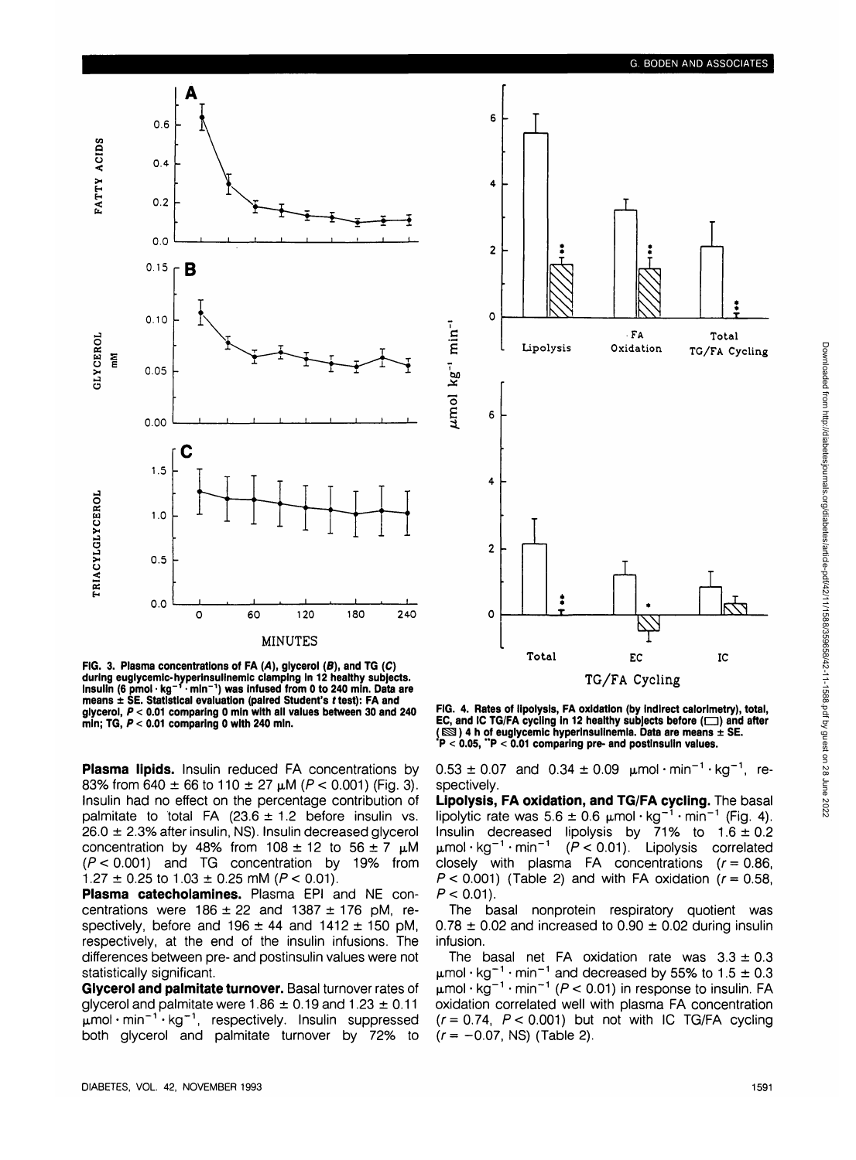

**FIG. 3. Plasma concentrations of FA (A), glycerol (B), and TG (C) during euglycemlc-hyperinsulinemlc clamping In 12 healthy subjects. Insulin (6 pmol • kg~'• mln~<sup>1</sup> ) was Infused from 0 to 240 mln. Data are means ± SE. Statistical evaluation (paired Student's f test): FA and glycerol, P < 0.01 comparing 0 mln with all values between 30 and 240 mln; TG, P < 0.01 comparing 0 with 240 mln.**

**Plasma lipids.** Insulin reduced FA concentrations by 83% from 640  $\pm$  66 to 110  $\pm$  27  $\mu$ M (P < 0.001) (Fig. 3). Insulin had no effect on the percentage contribution of palmitate to total FA (23.6  $\pm$  1.2 before insulin vs.  $26.0 \pm 2.3\%$  after insulin, NS). Insulin decreased glycerol concentration by 48% from  $108 \pm 12$  to  $56 \pm 7$   $\mu$ M  $(P < 0.001)$  and TG concentration by 19% from  $1.27 \pm 0.25$  to  $1.03 \pm 0.25$  mM ( $P < 0.01$ ).

**Plasma catecholamines.** Plasma EPI and NE concentrations were  $186 \pm 22$  and  $1387 \pm 176$  pM, respectively, before and  $196 \pm 44$  and  $1412 \pm 150$  pM, respectively, at the end of the insulin infusions. The differences between pre- and postinsulin values were not statistically significant.

**Glycerol and palmitate turnover.** Basal turnover rates of glycerol and palmitate were  $1.86 \pm 0.19$  and  $1.23 \pm 0.11$  $\mu$ mol·min<sup>-1</sup>·kg<sup>-1</sup>, respectively. Insulin suppressed both glycerol and palmitate turnover by 72% to



**FIG. 4. Rates of lipolysis, FA oxidation (by Indirect calorimetry), total,** EC, and IC TG/FA cycling in 12 healthy subjects before ( $\Box$ ) and after **( ^ ) 4 h of euglycemic hyperlnsullnemla. Data are means ± SE. \*P < 0.05, "P < 0.01 comparing pre- and postinsulin values.**

 $0.53 \pm 0.07$  and  $0.34 \pm 0.09$   $\mu$ mol·min<sup>-1</sup>·kg<sup>-1</sup>, respectively.

**Lipolysis, FA oxidation, and TG/FA cycling.** The basal lipolytic rate was  $5.6 \pm 0.6 \mu$ mol·kg<sup>-1</sup>·min<sup>-1</sup> (Fig. 4). Insulin decreased lipolysis by 71% to 1.6 ±0.2  $\mu$ mol·kg<sup>-1</sup>·min<sup>-1</sup>  $(P < 0.01)$ . Lipolysis correlated closely with plasma FA concentrations  $(r = 0.86,$  $P < 0.001$ ) (Table 2) and with FA oxidation ( $r = 0.58$ ,  $P < 0.01$ ).

The basal nonprotein respiratory quotient was  $0.78 \pm 0.02$  and increased to  $0.90 \pm 0.02$  during insulin infusion.

The basal net FA oxidation rate was  $3.3 \pm 0.3$  $\mu$ mol  $\cdot$  kg $^{-1}$  $\mu$ mol • kg $^{-1}$ min<sup>-1</sup> and decreased by 55% to 1.5  $\pm$  0.3  $min^{-1}$  ( $P < 0.01$ ) in response to insulin. FA oxidation correlated well with plasma FA concentration  $(r=0.74, P < 0.001)$  but not with IC TG/FA cycling  $(r = -0.07, NS)$  (Table 2).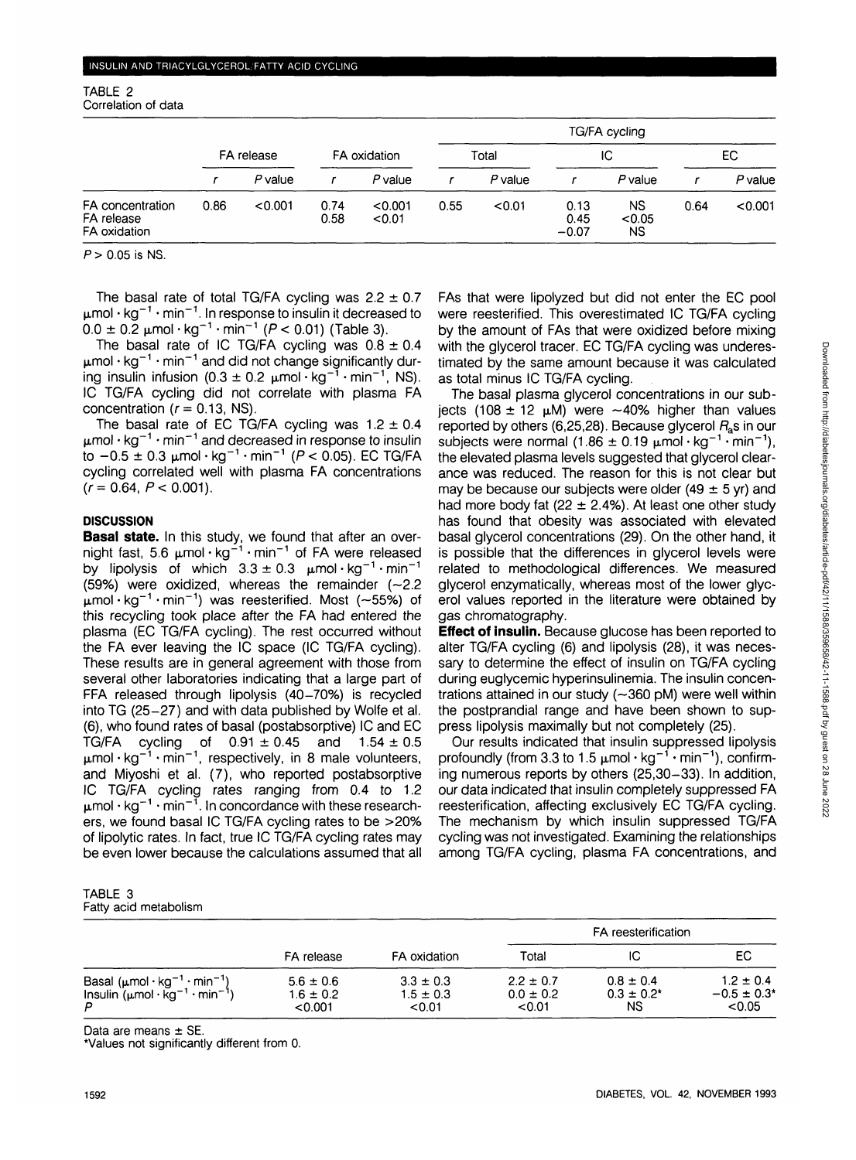| TABLE 2             |  |
|---------------------|--|
| Correlation of data |  |

|                                                |            |           |              | TG/FA cycling     |       |           |                         |                     |      |           |
|------------------------------------------------|------------|-----------|--------------|-------------------|-------|-----------|-------------------------|---------------------|------|-----------|
|                                                | FA release |           | FA oxidation |                   | Total |           | IС                      |                     | EC.  |           |
|                                                |            | $P$ value |              | $P$ value         |       | $P$ value |                         | P value             |      | $P$ value |
| FA concentration<br>FA release<br>FA oxidation | 0.86       | < 0.001   | 0.74<br>0.58 | < 0.001<br>< 0.01 | 0.55  | < 0.01    | 0.13<br>0.45<br>$-0.07$ | NS.<br>< 0.05<br>NS | 0.64 | < 0.001   |

 $P > 0.05$  is NS.

 $\mu$ mol  $\cdot$  kg<sup>-1</sup>  $\cdot$  min<sup>-1</sup>. In response to insulin it decreased to  $0.0 \pm 0.2 \mu$ mol·kg<sup>-1</sup>·min<sup>-1</sup> ( $P$  < 0.01) (Table 3).

The basal rate of IC TG/FA cycling was  $0.8 \pm 0.4$  $\mu$ mol  $\cdot$  kg $^{-1}$   $\cdot$  min $^{-1}$  and did not change significantly during insulin infusion (0.3  $\pm$  0.2  $\mu$ mol · kg<sup>-1</sup> · min<sup>-1</sup>, NS). IC TG/FA cycling did not correlate with plasma FA concentration  $(r = 0.13, NS)$ .

 $\mu$ mol  $\cdot$  kg $^{-1}$   $\cdot$  min $^{-1}$  a The basal rate of EC TG/FA cycling was  $1.2 \pm 0.4$ to  $-0.5 \pm 0.3 \mu$ mol·kg<sup>-1</sup>·min<sup>-1</sup> (*P* < 0.05). EC TG/FA cycling correlated well with plasma FA concentrations  $(r=0.64, P < 0.001)$ .

### **DISCUSSION**

**Basal state.** In this study, we found that after an overnight fast, 5.6  $\mu$ mol·kg<sup>-1</sup>·min<sup>-1</sup> of FA were released by lipolysis of which  $3.3 \pm 0.3$   $\mu$ mol  $kg^{-1}$  min (59%) were oxidized, whereas the remainder  $(-2.2)$  $\mu$ mol·kg<sup>-1</sup>·min<sup>-1</sup>) was reesterified. Most (~55%) of this recycling took place after the FA had entered the plasma (EC TG/FA cycling). The rest occurred without the FA ever leaving the IC space (IC TG/FA cycling). These results are in general agreement with those from several other laboratories indicating that a large part of FFA released through lipolysis (40-70%) is recycled into TG (25-27) and with data published by Wolfe et al. (6), who found rates of basal (postabsorptive) IC and EC TG/FA cycling of  $0.91 \pm 0.45$  and  $1.54 \pm 0.5$  $\mu$ mol  $\cdot$  kg<sup>-1</sup>  $\cdot$  min<sup>-1</sup>, respectively, in 8 male volunteers, profoundly (from 3.3 to 1.5  $\mu$ mol  $\cdot$  kg<sup>-1</sup>  $\cdot$ and Miyoshi et al. (7), who reported postabsorptive IC TG/FA cycling rates ranging from 0.4 to 1.2  $\mu$ mol  $\cdot$  kg $^{-1}$   $\cdot$  min $^{-1}$ . In concordance with these researchers, we found basal IC TG/FA cycling rates to be >20% of lipolytic rates. In fact, true IC TG/FA cycling rates may be even lower because the calculations assumed that all

| TABLE 3 |                       |
|---------|-----------------------|
|         | Fatty acid metabolism |

|                                                                                                                                       |                                           |                                          | FA reesterification                      |                                        |                                                        |
|---------------------------------------------------------------------------------------------------------------------------------------|-------------------------------------------|------------------------------------------|------------------------------------------|----------------------------------------|--------------------------------------------------------|
|                                                                                                                                       | FA release                                | FA oxidation                             | Total                                    | IC                                     | EС                                                     |
| Basal ( $\mu$ mol·kg <sup>-1</sup> ·min <sup>-1</sup> )<br>Insulin $(\mu \text{mol} \cdot \text{kg}^{-1} \cdot \text{min}^{-1})$<br>D | $5.6 \pm 0.6$<br>$1.6 \pm 0.2$<br>< 0.001 | $3.3 \pm 0.3$<br>$1.5 \pm 0.3$<br>< 0.01 | $2.2 \pm 0.7$<br>$0.0 \pm 0.2$<br>< 0.01 | $0.8 \pm 0.4$<br>$0.3 \pm 0.2^*$<br>ΝS | $1.2 \pm 0.4$<br>$-0.5 \pm 0.3$ <sup>*</sup><br>< 0.05 |

Data are means  $\pm$  SE.

\*Values not significantly different from 0.

The basal plasma glycerol concentrations in our subiects (108  $\pm$  12  $\mu$ M) were  $\sim$ 40% higher than values reported by others (6,25,28). Because glycerol  $R_s$ s in our and decreased in response to insulin subjects were normal (1.86  $\pm$  0.19  $\mu$ mol • kg<sup>-1</sup> • min<sup>-1</sup>), the elevated plasma levels suggested that glycerol clearance was reduced. The reason for this is not clear but may be because our subjects were older (49  $\pm$  5 yr) and had more body fat (22  $\pm$  2.4%). At least one other study has found that obesity was associated with elevated basal glycerol concentrations (29). On the other hand, it is possible that the differences in glycerol levels were related to methodological differences. We measured glycerol enzymatically, whereas most of the lower glycerol values reported in the literature were obtained by gas chromatography.

**Effect of insulin.** Because glucose has been reported to alter TG/FA cycling (6) and lipolysis (28), it was necessary to determine the effect of insulin on TG/FA cycling during euglycemic hyperinsulinemia. The insulin concentrations attained in our study  $(-360 \text{ pM})$  were well within the postprandial range and have been shown to suppress lipolysis maximally but not completely (25).

Our results indicated that insulin suppressed lipolysis  $min^{-1}$ ), confirming numerous reports by others (25,30-33). In addition, our data indicated that insulin completely suppressed FA reesterification, affecting exclusively EC TG/FA cycling. The mechanism by which insulin suppressed TG/FA cycling was not investigated. Examining the relationships among TG/FA cycling, plasma FA concentrations, and